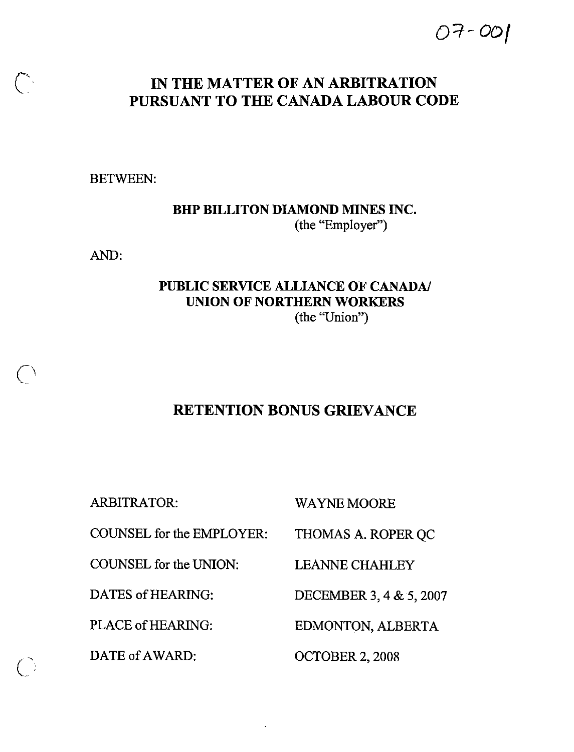# 07-001

# IN THE MATTER OF AN ARBITRATION PURSUANT TO THE CANADA LABOUR CODE

BETWEEN:

BMP BILLITON DIAMOND MINES INC. (the "Employer")

AND:

 $\bigcirc$ 

### PUBLIC SERVICE ALLIANCE OF CANADA/ UNION OF NORTHERN WORKERS (the "Union")

## RETENTION BONUS GRIEVANCE

ARBITRATOR: WAYNE MOORE COUNSEL for the EMPLOYER: THOMAS A. ROPER QC COUNSEL for the UNION: DATES of HEARING: PLACE of HEARING: DATE of AWARD: LEANNE CHAHLEY DECEMBER 3, 4 & 5, 2007 EDMONTON, ALBERTA OCTOBER 2, 2008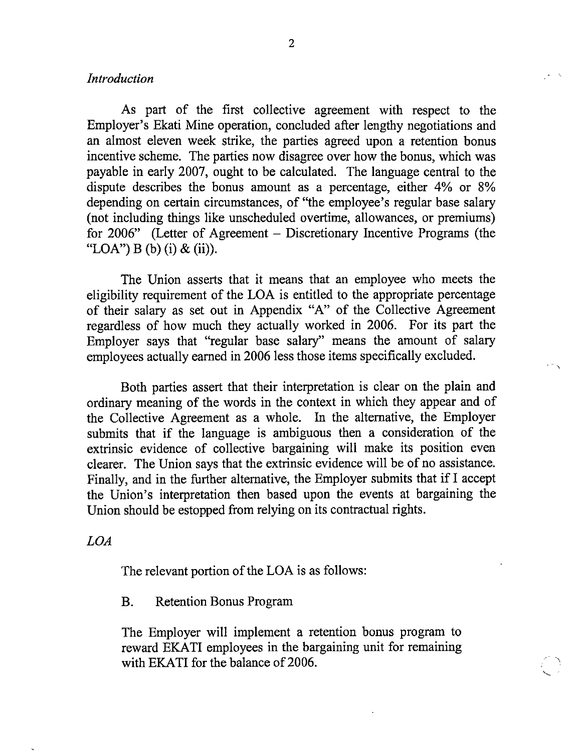#### Introduction

As part of the first collective agreement with respect to the Employer's Bkati Mine operation, concluded after lengthy negotiations and an almost eleven week strike, the parties agreed upon a retention bonus incentive scheme. The parties now disagree over how the bonus, which was payable in early 2007, ought to be calculated. The language central to the dispute describes the bonus amount as a percentage, either 4% or 8% depending on certain circumstances, of "the employee's regular base salary (not including things like unscheduled overtime, allowances, or premiums) for 2006" (Letter of Agreement – Discretionary Incentive Programs (the "LOA") B (b) (i) & (ii)).

The Union asserts that it means that an employee who meets the eligibility requirement of the LOA is entitled to the appropriate percentage of their salary as set out in Appendix "A" of the Collective Agreement regardless of how much they actually worked in 2006. For its part the Employer says that "regular base salary" means the amount of salary employees actually earned in 2006 less those items specifically excluded.

Both parties assert that their interpretation is clear on the plain and ordinary meaning of the words in the context in which they appear and of the Collective Agreement as a whole. In the alternative, the Employer submits that if the language is ambiguous then a consideration of the extrinsic evidence of collective bargaining will make its position even clearer. The Union says that the extrinsic evidence will be of no assistance. Finally, and in the further alternative, the Employer submits that if I accept the Union's interpretation then based upon the events at bargaining the Union should be estopped from relying on its contractual rights.

#### LOA

The relevant portion of the LOA is as follows:

B. Retention Bonus Program

The Employer will implement a retention bonus program to reward EKATI employees in the bargaining unit for remaining with EKATI for the balance of 2006.

 $\sim$   $\,$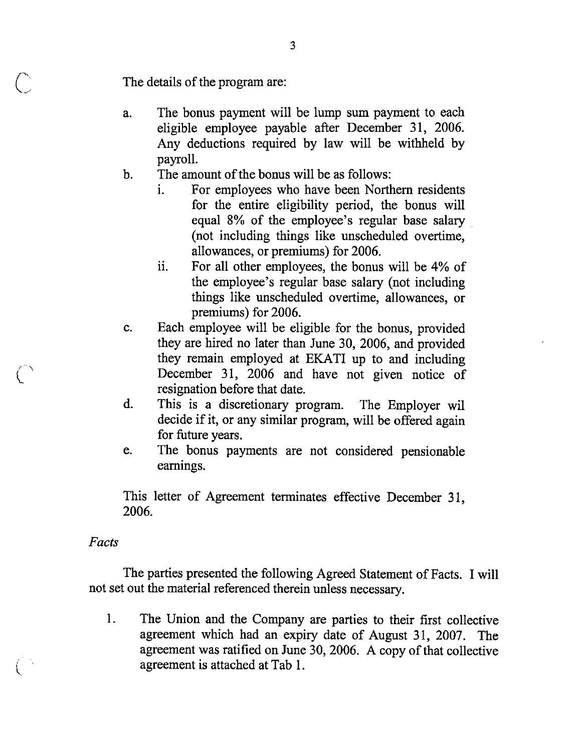The details of the program are:

- a. The bonus payment will be lump sum payment to each eligible employee payable after December 31, 2006. Any deductions required by law will be withheld by payroll.
- b. The amount of the bonus will be as follows:
	- i. For employees who have been Northern residents for the entire eligibility period, the bonus will equal 8% of the employee's regular base salary (not including things like unscheduled overtime, allowances, or premiums) for 2006.
	- ii. For all other employees, the bonus will be 4% of the employee's regular base salary (not including things like unscheduled overtime, allowances, or premiums) for 2006.
- c. Each employee will be eligible for the bonus, provided they are hired no later than June 30, 2006, and provided they remain employed at BKATI up to and including December 31, 2006 and have not given notice of resignation before that date.
- d. This is a discretionary program. The Employer wil decide if it, or any similar program, will be offered again for future years.
- e. The bonus payments are not considered pensionable earnings.

This letter of Agreement terminates effective December 31, 2006.

#### Facts

The parties presented the following Agreed Statement of Facts. I will not set out the material referenced therein unless necessary.

1. The Union and the Company are parties to their first collective agreement which had an expiry date of August 31, 2007. The agreement was ratified on June 30, 2006. A copy of that collective agreement is attached at Tab 1.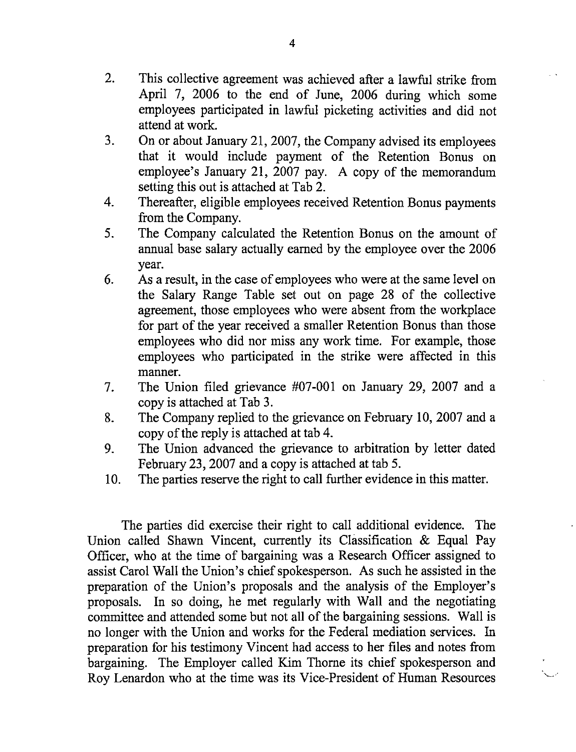- 2. This collective agreement was achieved after a lawful strike from April 7, 2006 to the end of June, 2006 during which some employees participated in lawful picketing activities and did not attend at work.
- 3. On or about January 21, 2007, the Company advised its employees that it would include payment of the Retention Bonus on employee's January 21, 2007 pay. A copy of the memorandum setting this out is attached at Tab 2.
- 4. Thereafter, eligible employees received Retention Bonus payments from the Company.
- 5. The Company calculated the Retention Bonus on the amount of annual base salary actually earned by the employee over the 2006 year.
- 6. As a result, in the case of employees who were at the same level on the Salary Range Table set out on page 28 of the collective agreement, those employees who were absent from the workplace for part of the year received a smaller Retention Bonus than those employees who did nor miss any work time. For example, those employees who participated in the strike were affected in this manner.
- 7. The Union filed grievance #07-001 on January 29, 2007 and a copy is attached at Tab 3.
- 8. The Company replied to the grievance on February 10, 2007 and a copy of the reply is attached at tab 4.
- 9. The Union advanced the grievance to arbitration by letter dated February 23, 2007 and a copy is attached at tab 5.
- 10. The parties reserve the right to call further evidence in this matter.

The parties did exercise their right to call additional evidence. The Union called Shawn Vincent, currently its Classification & Equal Pay Officer, who at the time of bargaining was a Research Officer assigned to assist Carol Wall the Union's chief spokesperson. As such he assisted in the preparation of the Union's proposals and the analysis of the Employer's proposals. In so doing, he met regularly with Wall and the negotiating committee and attended some but not all of the bargaining sessions. Wall is no longer with the Union and works for the Federal mediation services. In preparation for his testimony Vincent had access to her files and notes from bargaining. The Employer called Kim Thome its chief spokesperson and Roy Lenardon who at the time was its Vice-President of Human Resources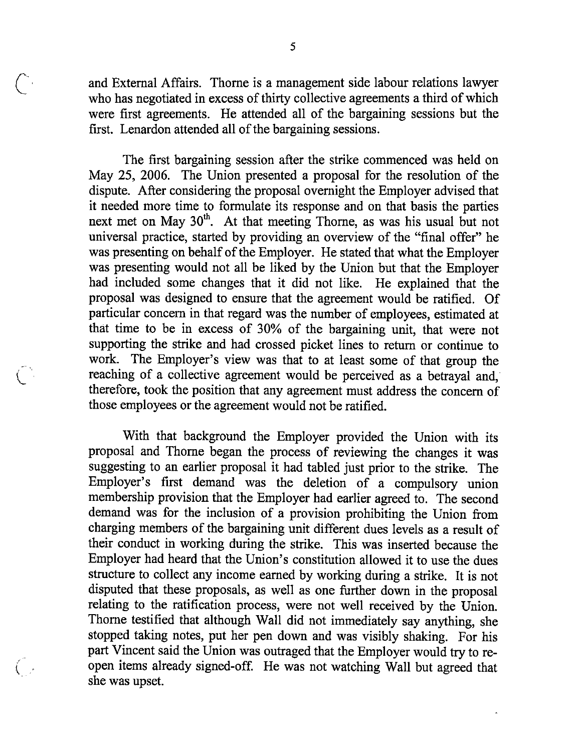c and External Affairs. Thorne is a management side labour relations lawyer who has negotiated in excess of thirty collective agreements a third of which were first agreements. He attended all of the bargaining sessions but the first. Lenardon attended all of the bargaining sessions.

> The first bargaining session after the strike commenced was held on May 25, 2006. The Union presented a proposal for the resolution of the dispute. After considering the proposal overnight the Employer advised that it needed more time to formulate its response and on that basis the parties next met on May 30<sup>th</sup>. At that meeting Thorne, as was his usual but not universal practice, started by providing an overview of the "final offer" he was presenting on behalf of the Employer. He stated that what the Employer was presenting would not all be liked by the Union but that the Employer had included some changes that it did not like. He explained that the proposal was designed to ensure that the agreement would be ratified. Of particular concern in that regard was the number of employees, estimated at that time to be in excess of 30% of the bargaining unit, that were not supporting the strike and had crossed picket lines to return or continue to work. The Employer's view was that to at least some of that group the reaching of a collective agreement would be perceived as a betrayal and, therefore, took the position that any agreement must address the concem of those employees or the agreement would not be ratified.

With that background the Employer provided the Union with its proposal and Thome began the process of reviewing the changes it was suggesting to an earlier proposal it had tabled just prior to the strike. The Employer's first demand was the deletion of a compulsory union membership provision that the Employer had earlier agreed to. The second demand was for the inclusion of a provision prohibiting the Union from charging members of the bargaining unit different dues levels as a result of their conduct in working during the strike. This was inserted because the Employer had heard that the Union's constitution allowed it to use the dues stmcture to collect any income eamed by working during a strike. It is not disputed that these proposals, as well as one further down in the proposal relating to the ratification process, were not well received by the Union. Thome testified that although Wall did not immediately say anything, she stopped taking notes, put her pen down and was visibly shaking. For his part Vincent said the Union was outraged that the Employer would try to re- $($  open items already signed-off. He was not watching Wall but agreed that she was upset.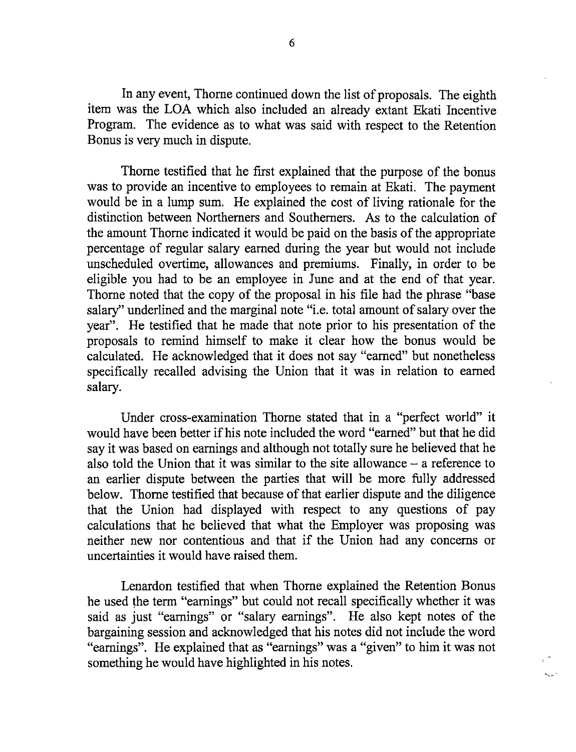In any event, Thome continued down the list of proposals. The eighth item was the LOA which also included an already extant Ekati Incentive Program. The evidence as to what was said with respect to the Retention Bonus is very much in dispute.

Thome testified that he first explained that the purpose of the bonus was to provide an incentive to employees to remain at Ekati. The payment would be in a lump sum. He explained the cost of living rationale for the distinction between Northemers and Southemers. As to the calculation of the amount Thorne indicated it would be paid on the basis of the appropriate percentage of regular salary eamed during the year but would not include unscheduled overtime, allowances and premiums. Finally, in order to be eligible you had to be an employee in June and at the end of that year. Thome noted that the copy of the proposal in his file had the phrase "base salary" underlined and the marginal note "i.e. total amount of salary over the year". He testified that he made that note prior to his presentation of the proposals to remind himself to make it clear how the bonus would be calculated. He acknowledged that it does not say "eamed" but nonetheless specifically recalled advising the Union that it was in relation to eamed salary.

Under cross-examination Thome stated that in a "perfect world" it would have been better if his note included the word "earned" but that he did say it was based on eamings and although not totally sure he believed that he also told the Union that it was similar to the site allowance  $-$  a reference to an earlier dispute between the parties that will be more fully addressed below. Thorne testified that because of that earlier dispute and the diligence that the Union had displayed with respect to any questions of pay calculations that he believed that what the Employer was proposing was neither new nor contentious and that if the Union had any concems or uncertainties it would have raised them.

Lenardon testified that when Thome explained the Retention Bonus he used the term "eamings" but could not recall specifically whether it was said as just "eamings" or "salary eamings". He also kept notes of the bargaining session and acknowledged that his notes did not include the word "eamings". He explained that as "eamings" was a "given" to him it was not something he would have highlighted in his notes.

s.<br>Saint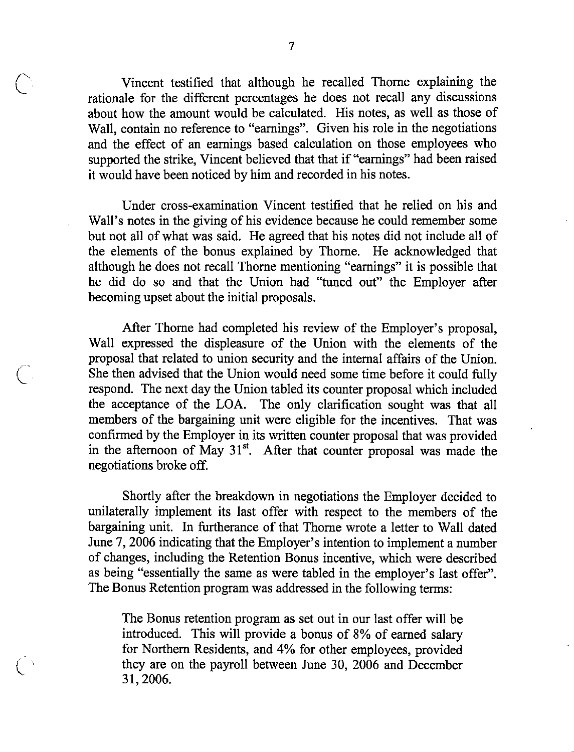Vincent testified that although he recalled Thome explaining the rationale for the different percentages he does not recall any discussions about how the amount would be calculated. His notes, as well as those of Wall, contain no reference to "eamings". Given his role in the negotiations and the effect of an eamings based calculation on those employees who supported the strike, Vincent believed that that if "eamings" had been raised it would have been noticed by him and recorded in his notes.

Under cross-examination Vincent testified that he relied on his and Wall's notes in the giving of his evidence because he could remember some but not all of what was said. He agreed that his notes did not include all of the elements of the bonus explained by Thome. He acknowledged that although he does not recall Thome mentioning "eamings" it is possible that he did do so and that the Union had "tuned out" the Employer after becoming upset about the initial proposals.

After Thome had completed his review of the Employer's proposal, Wall expressed the displeasure of the Union with the elements of the proposal that related to union security and the intemal affairs of the Union. She then advised that the Union would need some time before it could fully respond. The next day the Union tabled its counter proposal which included the acceptance of the LOA. The only clarification sought was that all members of the bargaining unit were eligible for the incentives. That was confirmed by the Employer in its written counter proposal that was provided in the afternoon of May  $31<sup>st</sup>$ . After that counter proposal was made the negotiations broke off.

Shortly after the breakdown in negotiations the Employer decided to unilaterally implement its last offer with respect to the members of the bargaining unit. In furtherance of that Thorne wrote a letter to Wall dated June 7, 2006 indicating that the Employer's intention to implement a number of changes, including the Retention Bonus incentive, which were described as being "essentially the same as were tabled in the employer's last offer". The Bonus Retention program was addressed in the following terms;

The Bonus retention program as set out in our last offer will be introduced. This will provide a bonus of 8% of eamed salary for Northem Residents, and 4% for other employees, provided they are on the payroll between June 30, 2006 and December 31,2006.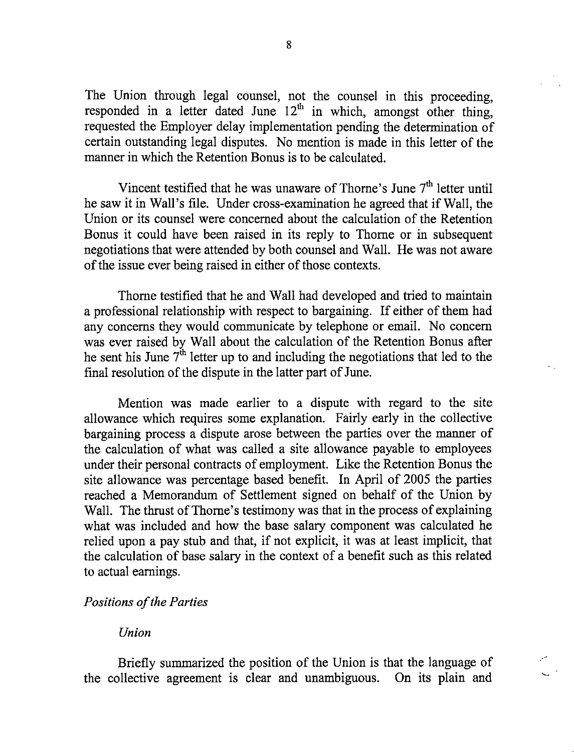The Union through legal counsel, not the counsel in this proceeding, responded in a letter dated June  $12<sup>th</sup>$  in which, amongst other thing, requested the Employer delay implementation pending the determination of certain outstanding legal disputes. No mention is made in this letter of the manner in which the Retention Bonus is to be calculated.

Vincent testified that he was unaware of Thorne's June  $7<sup>th</sup>$  letter until he saw it in Wall's file. Under cross-examination he agreed that if Wall, the Union or its counsel were concemed about the calculation of the Retention Bonus it could have been raised in its reply to Thome or in subsequent negotiations that were attended by both counsel and Wall. He was not aware of the issue ever being raised in either of those contexts.

Thome testified that he and Wall had developed and tried to maintain a professional relationship with respect to bargaining. If either of them had any concems they would communicate by telephone or email. No concem was ever raised by Wall about the calculation of the Retention Bonus after he sent his June  $7<sup>th</sup>$  letter up to and including the negotiations that led to the final resolution of the dispute in the latter part of June.

Mention was made earlier to a dispute with regard to the site allowance which requires some explanation. Fairly early in the collective bargaining process a dispute arose between the parties over the manner of the calculation of what was called a site allowance payable to employees under their personal contracts of employment. Like the Retention Bonus the site allowance was percentage based benefit. In April of 2005 the parties reached a Memorandum of Settlement signed on behalf of the Union by Wall. The thrust of Thorne's testimony was that in the process of explaining what was included and how the base salary component was calculated he relied upon a pay stub and that, if not explicit, it was at least implicit, that the calculation of base salary in the context of a benefit such as this related to actual eamings.

#### Positions of the Parties

#### Union

Briefly summarized the position of the Union is that the language of the collective agreement is clear and unambiguous. On its plain and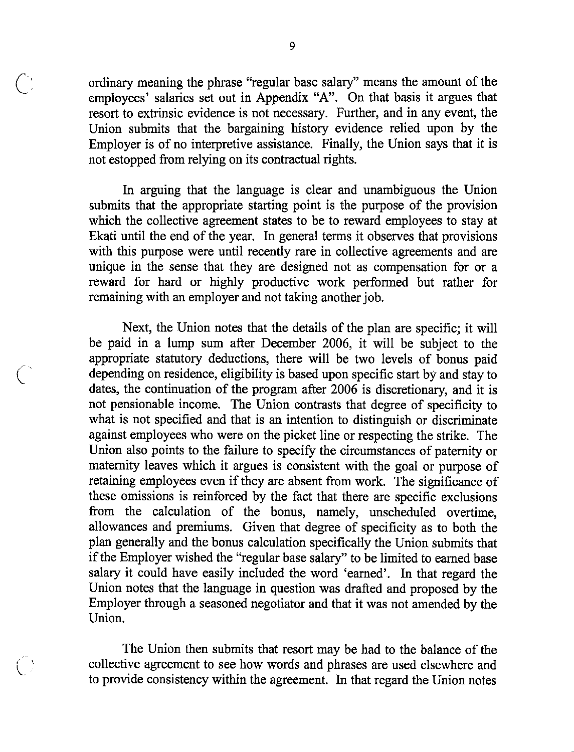ordinary meaning the phrase "regular base salary" means the amount of the employees' salaries set out in Appendix "A". On that basis it argues that resort to extrinsic evidence is not necessary. Further, and in any event, the Union submits that the bargaining history evidence relied upon by the Employer is of no interpretive assistance. Finally, the Union says that it is not estopped from relying on its contractual rights.

In arguing that the language is clear and unambiguous the Union submits that the appropriate starting point is the purpose of the provision which the collective agreement states to be to reward employees to stay at Ekati until the end of the year. In general terms it observes that provisions with this purpose were until recently rare in collective agreements and are unique in the sense that they are designed not as compensation for or a reward for hard or highly productive work performed but rather for remaining with an employer and not taking another job.

Next, the Union notes that the details of the plan are specific; it will be paid in a lump sum after December 2006, it will be subject to the appropriate statutory deductions, there will be two levels of bonus paid depending on residence, eligibility is based upon specific start by and stay to dates, the continuation of the program after 2006 is discretionary, and it is not pensionable income. The Union contrasts that degree of specificity to what is not specified and that is an intention to distinguish or discriminate against employees who were on the picket line or respecting the strike. The Union also points to the failure to specify the circumstances of paternity or maternity leaves which it argues is consistent with the goal or purpose of retaining employees even if they are absent from work. The significance of these omissions is reinforced by the fact that there are specific exclusions from the calculation of the bonus, namely, unscheduled overtime, allowances and premiums. Given that degree of specificity as to both the plan generally and the bonus calculation specifically the Union submits that if the Employer wished the "regular base salary" to be limited to earned base salary it could have easily included the word 'earned'. In that regard the Union notes that the language in question was drafted and proposed by the Employer through a seasoned negotiator and that it was not amended by the Union.

The Union then submits that resort may be had to the balance of the collective agreement to see how words and phrases are used elsewhere and to provide consistencywithin the agreement. In that regard the Union notes

 $\epsilon$   $\sim$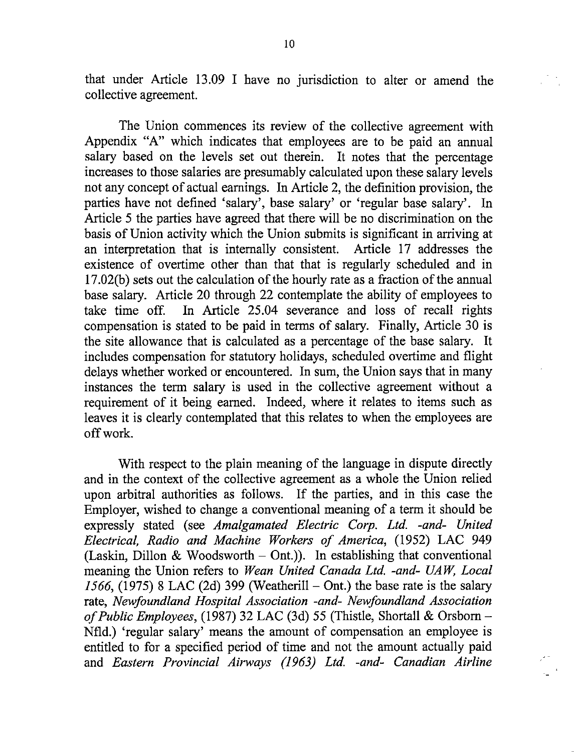that under Article 13.09 I have no jurisdiction to alter or amend the collective agreement.

The Union commences its review of the collective agreement with Appendix "A" which indicates that employees are to be paid an annual salary based on the levels set out therein. It notes that the percentage increases to those salaries are presumably calculated upon these salary levels not any concept of actual earnings. In Article 2, the definition provision, the parties have not defined 'salary', base salary' or 'regular base salary'. In Article 5 the parties have agreed that there will be no discrimination on the basis of Union activity which the Union submits is significant in arriving at an interpretation that is internally consistent. Article 17 addresses the existence of overtime other than that that is regularly scheduled and in 17.02(b) sets out the calculation of the hourly rate as a fraction of the annual base salary. Article 20 through 22 contemplate the ability of employees to take time off. In Article 25.04 severance and loss of recall rights compensation is stated to be paid in terms of salary. Finally, Article 30 is the site allowance that is calculated as a percentage of the base salary. It includes compensation for statutory holidays, scheduled overtime and flight delays whether worked or encountered. In sum, the Union says that in many instances the term salary is used in the collective agreement without a requirement of it being earned. Indeed, where it relates to items such as leaves it is clearly contemplated that this relates to when the employees are off work.

With respect to the plain meaning of the language in dispute directly and in the context of the collective agreement as a whole the Union relied upon arbitral authorities as follows. If the parties, and in this case the Employer, wished to change a conventional meaning of a term it should be expressly stated (see Amalgamated Electric Corp. Ltd. -and- United Electrical, Radio and Machine Workers of America, (1952) LAC 949 (Laskin, Dillon & Woodsworth  $-$  Ont.)). In establishing that conventional meaning the Union refers to Wean United Canada Ltd. -and- UAW, Local 1566, (1975) 8 LAC (2d) 399 (Weatherill  $-$  Ont.) the base rate is the salary rate, Newfoundland Hospital Association -and- Newfoundland Association of Public Employees, (1987) 32 LAC (3d) 55 (Thistle, Shortall & Orsborn  $-$ Nfld.) 'regular salary' means the amount of compensation an employee is entitled to for a specified period of time and not the amount actually paid and Eastern Provincial Airways (1963) Ltd. -and- Canadian Airline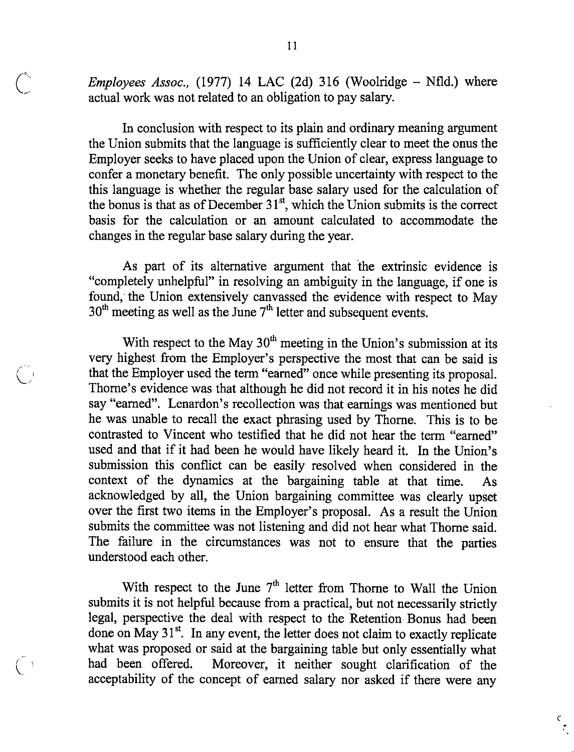Employees Assoc., (1977) 14 LAC (2d) 316 (Woolridge  $-$  Nfld.) where actual work was not related to an obligation to pay salary.

In conclusion with respect to its plain and ordinary meaning argument the Union submits that the language is sufficiently clear to meet the onus the Employer seeks to have placed upon the Union of clear, express language to confer a monetary benefit. The only possible uncertainty with respect to the this language is whether the regular base salary used for the calculation of the bonus is that as of December  $31^{st}$ , which the Union submits is the correct basis for the calculation or an amount calculated to accommodate the changes in the regular base salary during the year.

As part of its alternative argument that the extrinsic evidence is "completely unhelpful" in resolving an ambiguity in the language, if one is found, the Union extensively canvassed the evidence with respect to May  $30<sup>th</sup>$  meeting as well as the June 7<sup>th</sup> letter and subsequent events.

With respect to the May  $30<sup>th</sup>$  meeting in the Union's submission at its very highest from the Employer's perspective the most that can be said is that the Employer used the term "earned" once while presenting its proposal. Thome's evidence was that although he did not record it in his notes he did say "eamed". Lenardon's recollection was that eamings was mentioned but he was unable to recall the exact phrasing used by Thome. This is to be contrasted to Vincent who testified that he did not hear the term "eamed" used and that if it had been he would have likely heard it. In the Union's submission this conflict can be easily resolved when considered in the context of the dynamics at the bargaining table at that time. As acknowledged by all, the Union bargaining committee was clearly upset over the first two items in the Employer's proposal. As a result the Union submits the committee was not listening and did not hear what Thome said. The failure in the circumstances was not to ensure that the parties understood each other.

With respect to the June  $7<sup>th</sup>$  letter from Thorne to Wall the Union submits it is not helpful because from a practical, but not necessarily strictly legal, perspective the deal with respect to the Retention Bonus had been done on May  $31^{st}$ . In any event, the letter does not claim to exactly replicate what was proposed or said at the bargaining table but only essentially what had been offered. Moreover, it neither sought clarification of the acceptability of the concept of eamed salary nor asked if there were any

 $rac{c}{\sqrt{c}}$ 

 $\left(\begin{matrix}1\\1\end{matrix}\right)$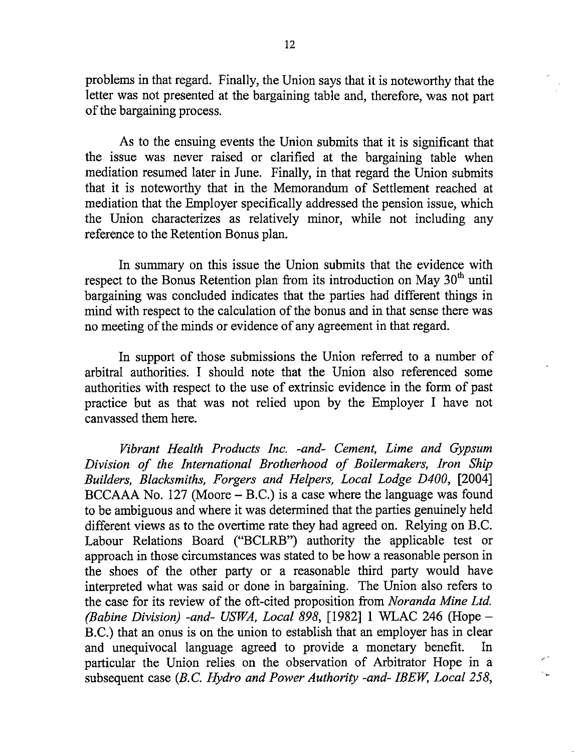problems in that regard. Finally, the Union says that it is noteworthy that the letter was not presented at the bargaining table and, therefore, was not part ofthe bargaining process.

As to the ensuing events the Union submits that it is significant that the issue was never raised or clarified at the bargaining table when mediation resumed later in June. Finally, in that regard the Union submits that it is noteworthy that in the Memorandum of Settlement reached at mediation that the Employer specifically addressed the pension issue, which the Union characterizes as relatively minor, while not including any reference to the Retention Bonus plan.

In summary on this issue the Union submits that the evidence with respect to the Bonus Retention plan from its introduction on May  $30<sup>th</sup>$  until bargaining was concluded indicates that the parties had different things in mind with respect to the calculation of the bonus and in that sense there was no meeting of the minds or evidence of any agreement in that regard.

In support of those submissions the Union referred to a number of arbitral authorities. I should note that the Union also referenced some authorities with respect to the use of extrinsic evidence in the form of past practice but as that was not relied upon by the Employer I have not canvassed them here.

Vibrant Health Products Inc. -and- Cement, Lime and Gypsum Division of the International Brotherhood of Boilermakers, Iron Ship Builders, Blacksmiths, Forgers and Helpers, Local Lodge D400, [2004]  $BCCAAA$  No. 127 (Moore  $- B.C.$ ) is a case where the language was found to be ambiguous and where it was determined that the parties genuinely held different views as to the overtime rate they had agreed on. Relying on B.C. Labour Relations Board ("BCLRB") authority the applicable test or approach in those circumstances was stated to be how a reasonable person in the shoes of the other party or a reasonable third party would have interpreted what was said or done in bargaining. The Union also refers to the case for its review of the oft-cited proposition from Noranda Mine Ltd. (Babine Division) -and- USWA, Local 898, [1982] 1 WLAC 246 (Hope  $-$ B.C.) that an onus is on the union to establish that an employer has in clear and unequivocal language agreed to provide a monetary benefit. In particular the Union relies on the observation of Arbitrator Hope in a subsequent case (B.C. Hydro and Power Authority -and- IBEW, Local 258,

Ñ.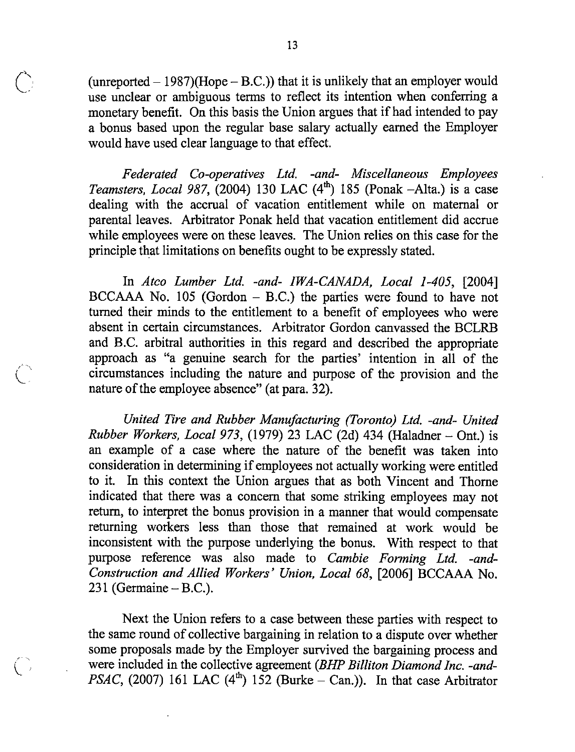(unreported  $- 1987$ )(Hope  $- B.C.$ )) that it is unlikely that an employer would use unclear or ambiguous terms to reflect its intention when conferring a monetary benefit. On this basis the Union argues that if had intended to pay a bonus based upon the regular base salary actually earned the Employer would have used clear language to that effect.

Federated Co-operatives Ltd. -and- Miscellaneous Employees Teamsters, Local 987, (2004) 130 LAC  $(4^{\text{th}})$  185 (Ponak -Alta.) is a case dealing with the accrual of vacation entitlement while on maternal or parental leaves. Arbitrator Ponak held that vacation entitlement did accrue while employees were on these leaves. The Union relies on this case for the principle that limitations on benefits ought to be expressly stated.

In Atco Lumber Ltd. -and- TWA-CANADA, Local 1-405, [2004]  $BCCAAA$  No. 105 (Gordon  $-$  B.C.) the parties were found to have not turned their minds to the entitlement to a benefit of employees who were absent in certain circumstances. Arbitrator Gordon canvassed the BCLRB and B.C. arbitral authorities in this regard and described the appropriate approach as "a genuine search for the parties' intention in all of the circumstances including the nature and purpose of the provision and the nature of the employee absence" (at para. 32).

United Tire and Rubber Manufacturing (Toronto) Ltd. -and- United Rubber Workers, Local 973, (1979) 23 LAC (2d) 434 (Haladner  $-$  Ont.) is an example of a case where the nature of the benefit was taken into consideration in determining if employees not actually working were entitled to it. In this context the Union argues that as both Vincent and Thome indicated that there was a concem that some striking employees may not retum, to interpret the bonus provision in a manner that would compensate retuming workers less than those that remained at work would be inconsistent with the purpose underlying the bonus. With respect to that purpose reference was also made to Cambie Forming Ltd. -and-Construction and Allied Workers' Union, Local 68, [2006] BCCAAA No.  $231$  (Germaine – B.C.).

Next the Union refers to a case between these parties with respect to the same round of collective bargaining in relation to a dispute over whether some proposals made by the Employer survived the bargaining process and were included in the collective agreement (BHP Billiton Diamond Inc. -and-PSAC, (2007) 161 LAC (4<sup>th</sup>) 152 (Burke - Can.)). In that case Arbitrator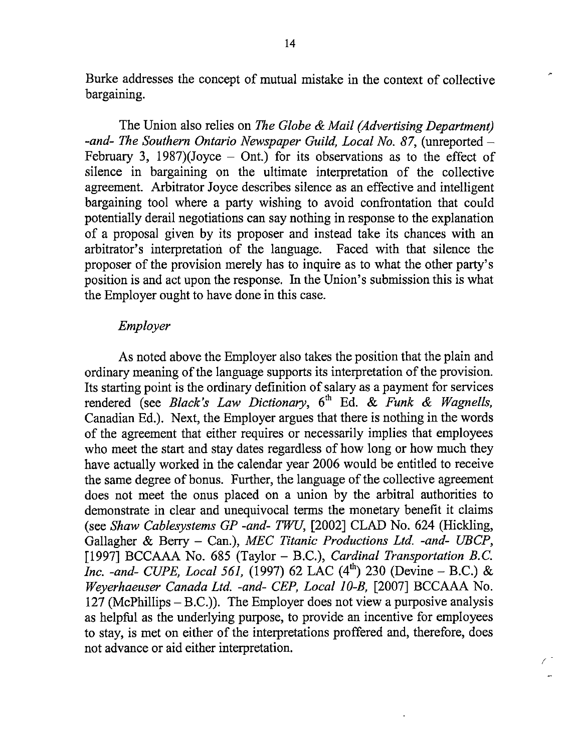Burke addresses the concept of mutual mistake in the context of collective bargaining.

The Union also relies on The Globe & Mail (Advertising Department) -and- The Southern Ontario Newspaper Guild, Local No, 87, (unreported — February 3, 1987)(Joyce  $-$  Ont.) for its observations as to the effect of silence in bargaining on the ultimate interpretation of the collective agreement. Arbitrator Joyce describes silence as an effective and intelligent bargaining tool where a party wishing to avoid confrontation that could potentially derail negotiations can say nothing in response to the explanation of a proposal given by its proposer and instead take its chances with an arbitrator's interpretation of the language. Faced with that silence the proposer of the provision merely has to inquire as to what the other party's position is and act upon the response. In the Union's submission this is what the Employer ought to have done in this case.

#### Employer

As noted above the Employer also takes the position that the plain and ordinary meaning of the language supports its interpretation of the provision. Its starting point is the ordinary definition of salary as a payment for services rendered (see Black's Law Dictionary, 6<sup>th</sup> Ed. & Funk & Wagnells, Canadian Ed.), Next, the Employer argues that there is nothing in the words of the agreement that either requires or necessarily implies that employees who meet the start and stay dates regardless of how long or how much they have actually worked in the calendar year 2006 would be entitled to receive the same degree of bonus. Further, the language of the collective agreement does not meet the onus placed on a union by the arbitral authorities to demonstrate in clear and unequivocal terms the monetary benefit it claims (see Shaw Cablesystems GP -and- TWU, [2002] CLAD No. 624 (Hickling, Gallagher & Berry – Can.), MEC Titanic Productions Ltd. -and- UBCP, [1997] BCCAAA No. 685 (Taylor – B.C.), Cardinal Transportation B.C. *Inc. -and- CUPE, Local 561,* (1997) 62 LAC (4<sup>th</sup>) 230 (Devine – B.C.) & Weyerhaeuser Canada Ltd. -and- CEP, Local 10-B, [2007] BCCAAA No. 127 (McPhillips  $- B.C.$ )). The Employer does not view a purposive analysis as helpful as the underlying purpose, to provide an incentive for employees to stay, is met on either of the interpretations proffered and, therefore, does not advance or aid either interpretation.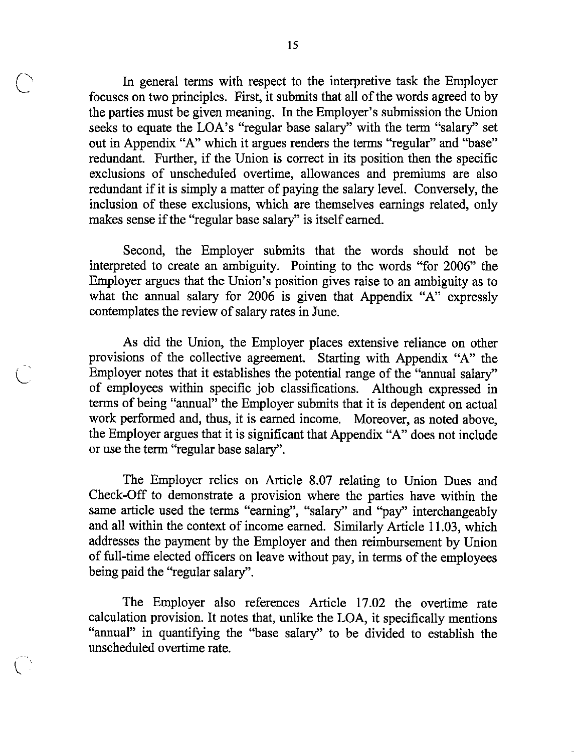In general terms with respect to the interpretive task the Employer focuses on two principles. First, it submits that all of the words agreed to by the parties must be given meaning. In the Employer's submission the Union seeks to equate the LOA's "regular base salary" with the term "salary" set out in Appendix "A" which it argues renders the terms "regular" and "base" redundant. Further, if the Union is correct in its position then the specific exclusions of unscheduled overtime, allowances and premiums are also redundant if it is simply a matter of paying the salary level. Conversely, the inclusion of these exclusions, which are themselves earnings related, only makes sense if the "regular base salary" is itself earned.

Second, the Employer submits that the words should not be interpreted to create an ambiguity. Pointing to the words "for 2006" the Employer argues that the Union's position gives raise to an ambiguity as to what the annual salary for 2006 is given that Appendix "A" expressly contemplates the review of salary rates in June.

As did the Union, the Employer places extensive reliance on other provisions of the collective agreement. Starting with Appendix "A" the Employer notes that it establishes the potential range of the "annual salary" of employees within specific job classifications. Although expressed in terms of being "annual" the Employer submits that it is dependent on actual work performed and, thus, it is eamed income. Moreover, as noted above, the Employer argues that it is significant that Appendix "A" does not include or use the term "regular base salary".

The Employer relies on Article 8.07 relating to Union Dues and Check-Off to demonstrate a provision where the parties have within the same article used the terms "eaming", "salary" and "pay" interchangeably and all within the context of income earned. Similarly Article 11.03, which addresses the payment by the Employer and then reimbursement by Union of full-time elected officers on leave without pay, in terms of the employees being paid the "regular salary".

The Employer also references Article 17.02 the overtime rate calculation provision. It notes that, unlike the LOA, it specifically mentions "annual" in quantifying the "base salary" to be divided to establish the unscheduled overtime rate.

 $\mathcal{L}^{\mathcal{A}}$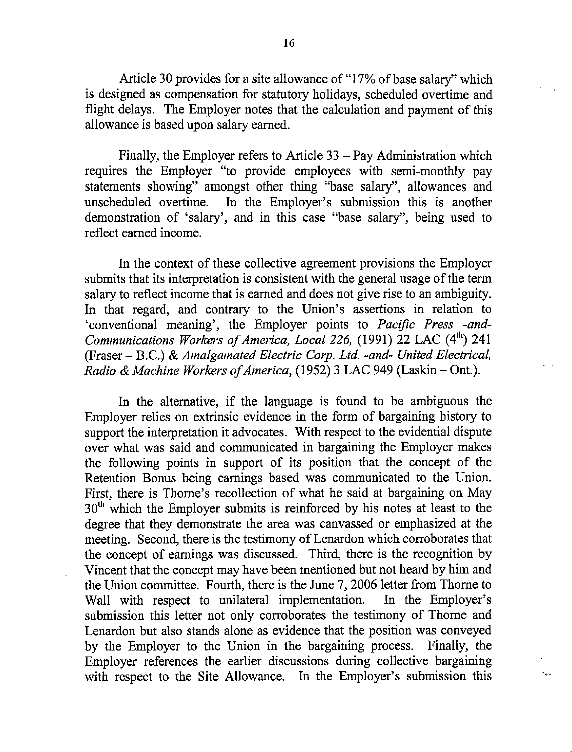Article 30 provides for a site allowance of "17% of base salary" which is designed as compensation for statutory holidays, scheduled overtime and flight delays. The Employer notes that the calculation and payment of this allowance is based upon salary earned.

Finally, the Employer refers to Article  $33 - Pay$  Administration which requires the Employer "to provide employees with semi-monthly pay statements showing" amongst other thing "base salary", allowances and unscheduled overtime. In the Employer's submission this is another demonstration of 'salary', and in this case "base salary", being used to reflect earned income.

In the context of these collective agreement provisions the Employer submits that its interpretation is consistent with the general usage of the term salary to reflect income that is earned and does not give rise to an ambiguity. In that regard, and contrary to the Union's assertions in relation to 'conventional meaning', the Employer points to Pacific Press -and-Communications Workers of America, Local 226, (1991) 22 LAC (4<sup>th</sup>) 241  $(Fraser - B.C.)$  & Amalgamated Electric Corp. Ltd. -and- United Electrical, Radio & Machine Workers of America, (1952) 3 LAC 949 (Laskin - Ont.).

In the alternative, if the language is found to be ambiguous the Employer relies on extrinsic evidence in the form of bargaining history to support the interpretation it advocates. With respect to the evidential dispute over what was said and communicated in bargaining the Employer makes the following points in support of its position that the concept of the Retention Bonus being earnings based was communicated to the Union. First, there is Thome's recollection of what he said at bargaining on May  $30<sup>th</sup>$  which the Employer submits is reinforced by his notes at least to the degree that they demonstrate the area was canvassed or emphasized at the meeting. Second, there is the testimony of Lenardon which corroborates that the concept of eamings was discussed. Third, there is the recognition by Vincent that the concept may have been mentioned but not heard by him and the Union committee. Fourth, there is the June 7, 2006 letter from Thome to Wall with respect to unilateral implementation. In the Employer's submission this letter not only corroborates the testimony of Thome and Lenardon but also stands alone as evidence that the position was conveyed by the Employer to the Union in the bargaining process. Finally, the Employer references the earlier discussions during collective bargaining with respect to the Site Allowance. In the Employer's submission this

 $\sim$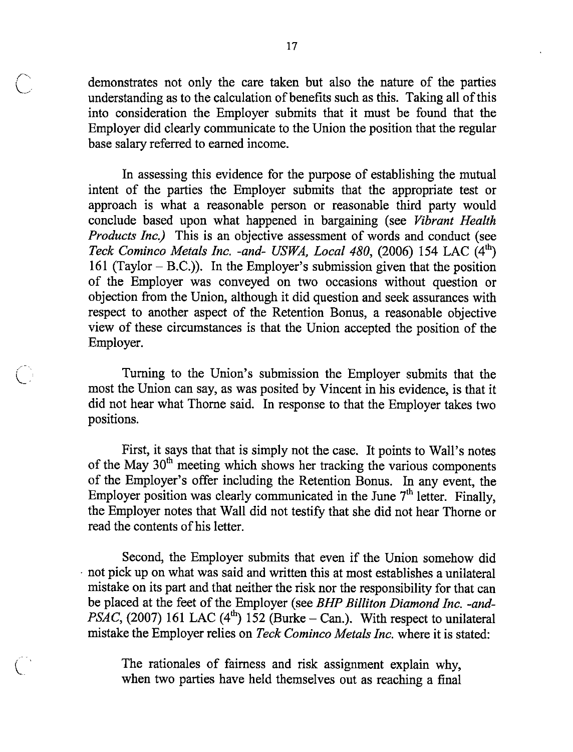demonstrates not only the care taken but also the nature of the parties understanding as to the calculation of benefits such as this. Taking all ofthis into consideration the Employer submits that it must be found that the Employer did clearly communicate to the Union the position that the regular base salary referred to earned income.

In assessing this evidence for the purpose of establishing the mutual intent of the parties the Employer submits that the appropriate test or approach is what a reasonable person or reasonable third party would conclude based upon what happened in bargaining (see Vibrant Health Products Inc.) This is an objective assessment of words and conduct (see Teck Cominco Metals Inc. -and- USWA, Local 480, (2006) 154 LAC  $(4^{\text{th}})$ 161 (Taylor  $-$  B.C.)). In the Employer's submission given that the position of the Employer was conveyed on two occasions without question or objection from the Union, although it did question and seek assurances with respect to another aspect of the Retention Bonus, a reasonable objective view of these circumstances is that the Union accepted the position of the Employer,

Turning to the Union's submission the Employer submits that the most the Union can say, as was posited by Vincent in his evidence, is that it did not hear what Thome said. In response to that the Employer takes two positions.

First, it says that that is simply not the case. It points to Wall's notes of the May 30<sup>th</sup> meeting which shows her tracking the various components of the Employer's offer including the Retention Bonus. In any event, the Employer position was clearly communicated in the June  $7<sup>th</sup>$  letter. Finally, the Employer notes that Wall did not testify that she did not hear Thome or read the contents of his letter.

Second, the Employer submits that even if the Union somehow did not pick up on what was said and written this at most establishes a unilateral mistake on its part and that neither the risk nor the responsibility for that can be placed at the feet of the Employer (see BHP Billiton Diamond Inc. -and-*PSAC*, (2007) 161 LAC (4<sup>th</sup>) 152 (Burke - Can.). With respect to unilateral mistake the Employer relies on Teck Cominco Metals Inc. where it is stated:

The rationales of faimess and risk assignment explain why, when two parties have held themselves out as reaching a final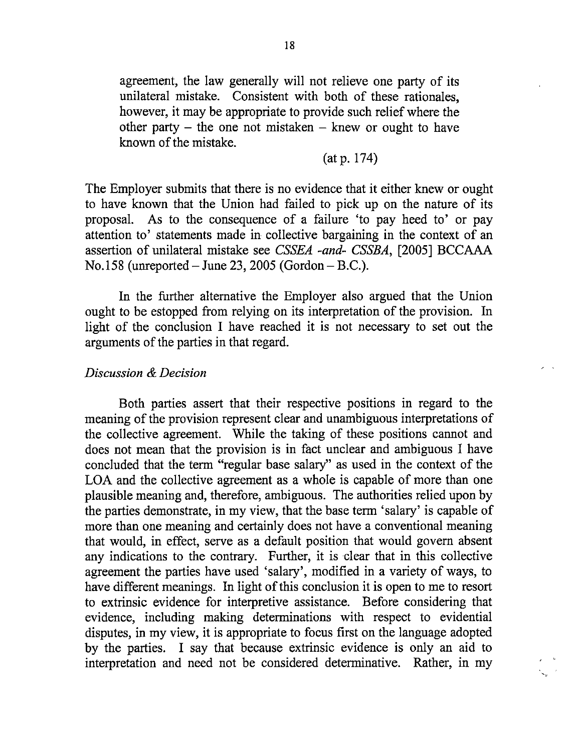agreement, the law generally will not relieve one party of its unilateral mistake. Consistent with both of these rationales, however, it may be appropriate to provide such relief where the other party – the one not mistaken – knew or ought to have known of the mistake.

(at p. 174)

The Employer submits that there is no evidence that it either knew or ought to have known that the Union had failed to pick up on the nature of its proposal. As to the consequence of a failure 'to pay heed to' or pay attention to' statements made in collective bargaining in the context of an assertion of unilateral mistake see CSSEA -and- CSSBA, [2005] BCCAAA No. 158 (unreported - June 23, 2005 (Gordon - B.C.).

In the further alternative the Employer also argued that the Union ought to be estopped from relying on its interpretation of the provision. In light of the conclusion I have reached it is not necessary to set out the arguments of the parties in that regard.

#### Discussion & Decision

Both parties assert that their respective positions in regard to the meaning of the provision represent clear and unambiguous interpretations of the collective agreement. While the taking of these positions cannot and does not mean that the provision is in fact unclear and ambiguous I have concluded that the term "regular base salary" as used in the context of the LOA and the collective agreement as a whole is capable of more than one plausible meaning and, therefore, ambiguous. The authorities relied upon by the parties demonstrate, in my view, that the base term 'salary' is capable of more than one meaning and certainly does not have a conventional meaning that would, in effect, serve as a default position that would govern absent any indications to the contrary. Further, it is clear that in this collective agreement the parties have used 'salary', modified in a variety of ways, to have different meanings. In light of this conclusion it is open to me to resort to extrinsic evidence for interpretive assistance. Before considering that evidence, including making determinations with respect to evidential disputes, in my view, it is appropriate to focus first on the language adopted by the parties. I say that because extrinsic evidence is only an aid to interpretation and need not be considered determinative. Rather, in my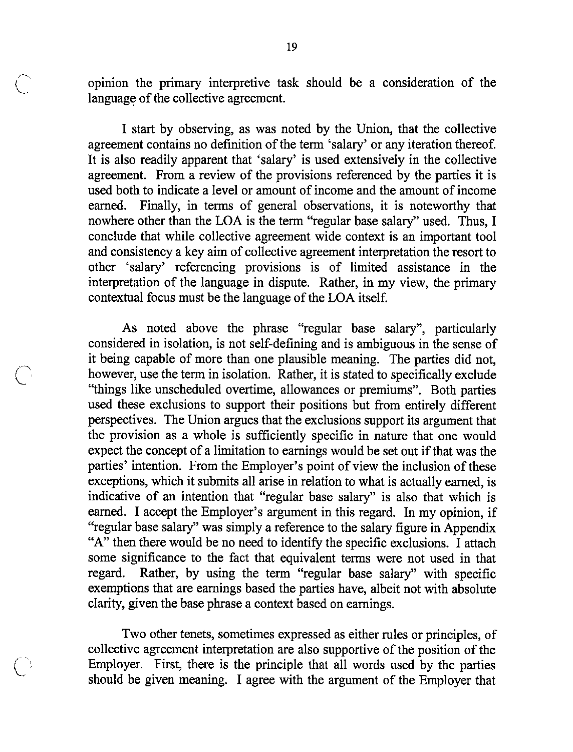opinion the primary interpretive task should be a consideration of the language of the collective agreement.

I start by observing, as was noted by the Union, that the collective agreement contains no definition of the term 'salary' or any iteration thereof. It is also readily apparent that 'salary' is used extensively in the collective agreement. From a review of the provisions referenced by the parties it is used both to indicate a level or amount of income and the amount of income earned. Finally, in terms of general observations, it is noteworthy that nowhere other than the LOA is the term "regular base salary" used. Thus, I conclude that while collective agreement wide context is an important tool and consistency a key aim of collective agreement interpretation the resort to other 'salary' referencing provisions is of limited assistance in the interpretation of the language in dispute. Rather, in my view, the primary contextual focus must be the language of the LOA itself.

As noted above the phrase "regular base salary", particularly considered in isolation, is not self-defining and is ambiguous in the sense of it being capable of more than one plausible meaning. The parties did not, however, use the term in isolation. Rather, it is stated to specifically exclude "things like unscheduled overtime, allowances or premiums". Both parties used these exclusions to support their positions but from entirely different perspectives. The Union argues that the exclusions support its argument that the provision as a whole is sufficiently specific in nature that one would expect the concept of a limitation to earnings would be set out if that was the parties' intention. From the Employer's point of view the inclusion of these exceptions, which it submits all arise in relation to what is actually earned, is indicative of an intention that "regular base salary" is also that which is earned. I accept the Employer's argument in this regard. In my opinion, if "regular base salary" was simply a reference to the salary figure in Appendix "A" then there would be no need to identify the specific exclusions. I attach some significance to the fact that equivalent terms were not used in that regard. Rather, by using the term "regular base salary" with specific exemptions that are earnings based the parties have, albeit not with absolute clarity, given the base phrase a context based on earnings.

Two other tenets, sometimes expressed as either rules or principles, of collective agreement interpretation are also supportive of the position of the Employer. First, there is the principle that all words used by the parties should be given meaning. I agree with the argument of the Employer that

'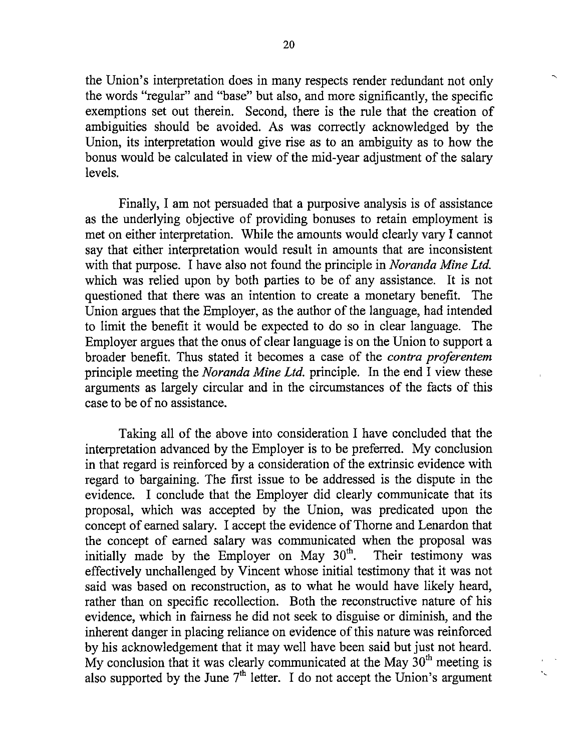the Union's interpretation does in many respects render redundant not only the words "regular" and "base" but also, and more significantly, the specific exemptions set out therein. Second, there is the rule that the creation of ambiguities should be avoided. As was correctly acknowledged by the Union, its interpretation would give rise as to an ambiguity as to how the bonus would be calculated in view of the mid-year adjustment of the salary levels.

Finally, I am not persuaded that a purposive analysis is of assistance as the underlying objective of providing bonuses to retain employment is met on either interpretation. While the amounts would clearly vary I cannot say that either interpretation would result in amounts that are inconsistent with that purpose. I have also not found the principle in *Noranda Mine Ltd*. which was relied upon by both parties to be of any assistance. It is not questioned that there was an intention to create a monetary benefit. The Union argues that the Employer, as the author of the language, had intended to limit the benefit it would be expected to do so in clear language. The Employer argues that the onus of clear language is on the Union to support a broader benefit. Thus stated it becomes a case of the contra proferentem principle meeting the Noranda Mine Ltd. principle. In the end I view these arguments as largely circular and in the circumstances of the facts of this case to be of no assistance.

Taking all of the above into consideration I have concluded that the interpretation advanced by the Employer is to be preferred. My conclusion in that regard is reinforced by a consideration of the extrinsic evidence with regard to bargaining. The first issue to be addressed is the dispute in the evidence. I conclude that the Employer did clearly communicate that its proposal, which was accepted by the Union, was predicated upon the concept of earned salary. I accept the evidence of Thorne and Lenardon that the concept of earned salary was communicated when the proposal was initially made by the Employer on May  $30^{\text{th}}$ . Their testimony was effectively unchallenged by Vincent whose initial testimony that it was not said was based on reconstruction, as to what he would have likely heard, rather than on specific recollection. Both the reconstructive nature of his evidence, which in faimess he did not seek to disguise or diminish, and the inherent danger in placing reliance on evidence of this nature was reinforced by his acknowledgement that it may well have been said but just not heard. My conclusion that it was clearly communicated at the May  $30<sup>th</sup>$  meeting is also supported by the June  $7<sup>th</sup>$  letter. I do not accept the Union's argument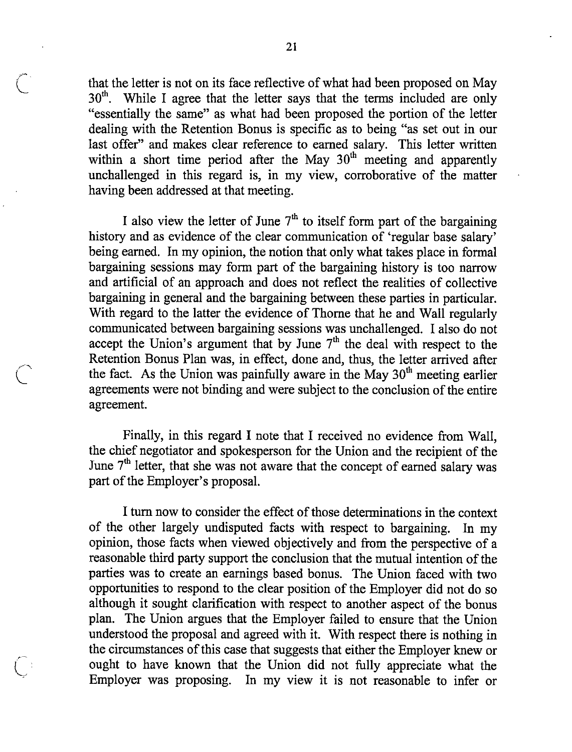that the letter is not on its face reflective of what had been proposed on May  $30<sup>th</sup>$ . While I agree that the letter says that the terms included are only "essentially the same" as what had been proposed the portion of the letter dealing with the Retention Bonus is specific as to being "as set out in our last offer" and makes clear reference to earned salary. This letter written within a short time period after the May  $30<sup>th</sup>$  meeting and apparently unchallenged in this regard is, in my view, corroborative of the matter having been addressed at that meeting.

I also view the letter of June  $7<sup>th</sup>$  to itself form part of the bargaining history and as evidence of the clear communication of 'regular base salary' being earned. In my opinion, the notion that only what takes place in formal bargaining sessions may form part of the bargaining history is too narrow and artificial of an approach and does not reflect the realities of collective bargaining in general and the bargaining between these parties in particular. With regard to the latter the evidence of Thome that he and Wall regularly communicated between bargaining sessions was unchallenged. I also do not accept the Union's argument that by June  $7<sup>th</sup>$  the deal with respect to the Retention Bonus Plan was, in effect, done and, thus, the letter arrived after the fact. As the Union was painfully aware in the May  $30<sup>th</sup>$  meeting earlier agreements were not binding and were subject to the conclusion of the entire agreement.

Finally, in this regard I note that I received no evidence from Wall, the chief negotiator and spokesperson for the Union and the recipient of the June 7<sup>th</sup> letter, that she was not aware that the concept of earned salary was part of the Employer's proposal.

I turn now to consider the effect of those determinations in the context of the other largely undisputed facts with respect to bargaining. In my opinion, those facts when viewed objectively and from the perspective of a reasonable third party support the conclusion that the mutual intention of the parties was to create an eamings based bonus. The Union faced with two opportunities to respond to the clear position of the Employer did not do so although it sought clarification with respect to another aspect of the bonus plan. The Union argues that the Employer failed to ensure that the Union understood the proposal and agreed with it. With respect there is nothing in the circumstances of this case that suggests that either the Employer knew or : ought to have known that the Union did not fully appreciate what the Employer was proposing. In my view it is not reasonable to infer or